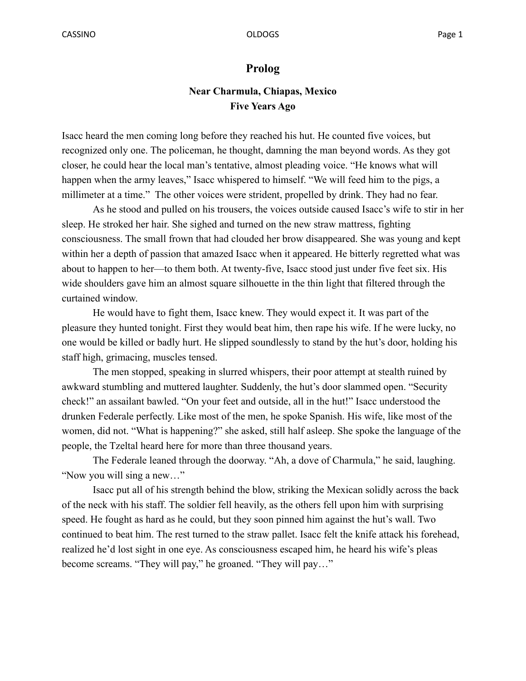### **Prolog**

## **Near Charmula, Chiapas, Mexico Five Years Ago**

Isacc heard the men coming long before they reached his hut. He counted five voices, but recognized only one. The policeman, he thought, damning the man beyond words. As they got closer, he could hear the local man's tentative, almost pleading voice. "He knows what will happen when the army leaves," Isacc whispered to himself. "We will feed him to the pigs, a millimeter at a time." The other voices were strident, propelled by drink. They had no fear.

 As he stood and pulled on his trousers, the voices outside caused Isacc's wife to stir in her sleep. He stroked her hair. She sighed and turned on the new straw mattress, fighting consciousness. The small frown that had clouded her brow disappeared. She was young and kept within her a depth of passion that amazed Isacc when it appeared. He bitterly regretted what was about to happen to her—to them both. At twenty-five, Isacc stood just under five feet six. His wide shoulders gave him an almost square silhouette in the thin light that filtered through the curtained window.

 He would have to fight them, Isacc knew. They would expect it. It was part of the pleasure they hunted tonight. First they would beat him, then rape his wife. If he were lucky, no one would be killed or badly hurt. He slipped soundlessly to stand by the hut's door, holding his staff high, grimacing, muscles tensed.

The men stopped, speaking in slurred whispers, their poor attempt at stealth ruined by awkward stumbling and muttered laughter. Suddenly, the hut's door slammed open. "Security check!" an assailant bawled. "On your feet and outside, all in the hut!" Isacc understood the drunken Federale perfectly. Like most of the men, he spoke Spanish. His wife, like most of the women, did not. "What is happening?" she asked, still half asleep. She spoke the language of the people, the Tzeltal heard here for more than three thousand years.

 The Federale leaned through the doorway. "Ah, a dove of Charmula," he said, laughing. "Now you will sing a new…"

Isacc put all of his strength behind the blow, striking the Mexican solidly across the back of the neck with his staff. The soldier fell heavily, as the others fell upon him with surprising speed. He fought as hard as he could, but they soon pinned him against the hut's wall. Two continued to beat him. The rest turned to the straw pallet. Isacc felt the knife attack his forehead, realized he'd lost sight in one eye. As consciousness escaped him, he heard his wife's pleas become screams. "They will pay," he groaned. "They will pay…"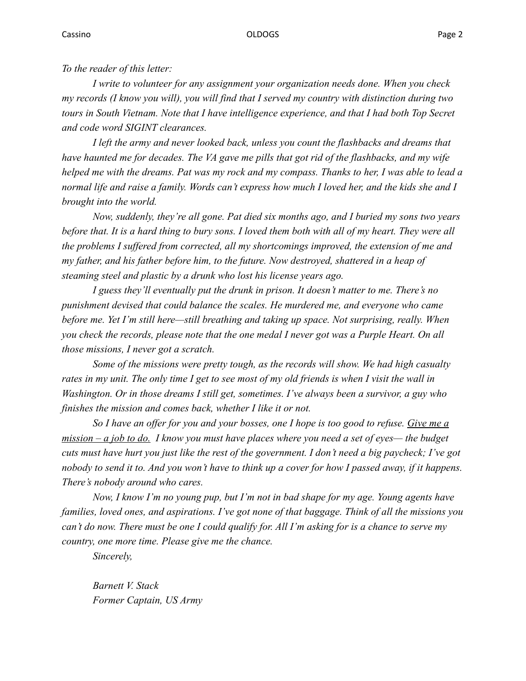*To the reader of this letter:* 

 *I write to volunteer for any assignment your organization needs done. When you check my records (I know you will), you will find that I served my country with distinction during two tours in South Vietnam. Note that I have intelligence experience, and that I had both Top Secret and code word SIGINT clearances.* 

 *I left the army and never looked back, unless you count the flashbacks and dreams that have haunted me for decades. The VA gave me pills that got rid of the flashbacks, and my wife helped me with the dreams. Pat was my rock and my compass. Thanks to her, I was able to lead a normal life and raise a family. Words can't express how much I loved her, and the kids she and I brought into the world.* 

*Now, suddenly, they're all gone. Pat died six months ago, and I buried my sons two years before that. It is a hard thing to bury sons. I loved them both with all of my heart. They were all the problems I suffered from corrected, all my shortcomings improved, the extension of me and my father, and his father before him, to the future. Now destroyed, shattered in a heap of steaming steel and plastic by a drunk who lost his license years ago.* 

*I guess they'll eventually put the drunk in prison. It doesn't matter to me. There's no punishment devised that could balance the scales. He murdered me, and everyone who came before me. Yet I'm still here—still breathing and taking up space. Not surprising, really. When you check the records, please note that the one medal I never got was a Purple Heart. On all those missions, I never got a scratch.* 

*Some of the missions were pretty tough, as the records will show. We had high casualty rates in my unit. The only time I get to see most of my old friends is when I visit the wall in Washington. Or in those dreams I still get, sometimes. I've always been a survivor, a guy who finishes the mission and comes back, whether I like it or not.* 

*So I have an offer for you and your bosses, one I hope is too good to refuse. Give me a mission – a job to do. I know you must have places where you need a set of eyes— the budget cuts must have hurt you just like the rest of the government. I don't need a big paycheck; I've got nobody to send it to. And you won't have to think up a cover for how I passed away, if it happens. There's nobody around who cares.* 

*Now, I know I'm no young pup, but I'm not in bad shape for my age. Young agents have families, loved ones, and aspirations. I've got none of that baggage. Think of all the missions you can't do now. There must be one I could qualify for. All I'm asking for is a chance to serve my country, one more time. Please give me the chance.* 

*Sincerely,* 

*Barnett V. Stack Former Captain, US Army*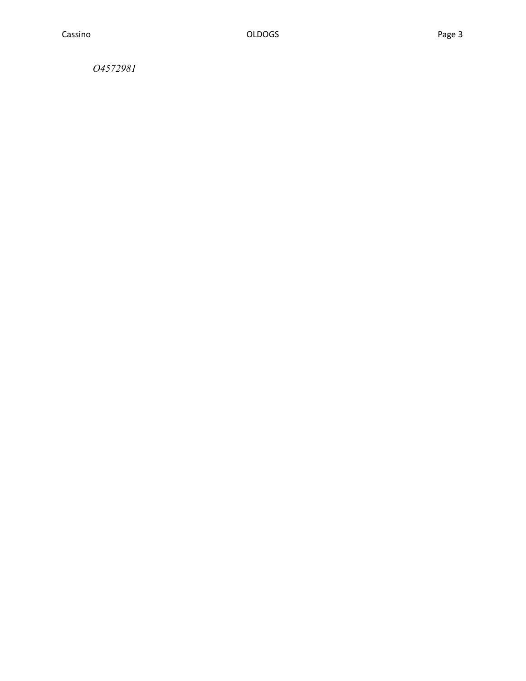*O4572981*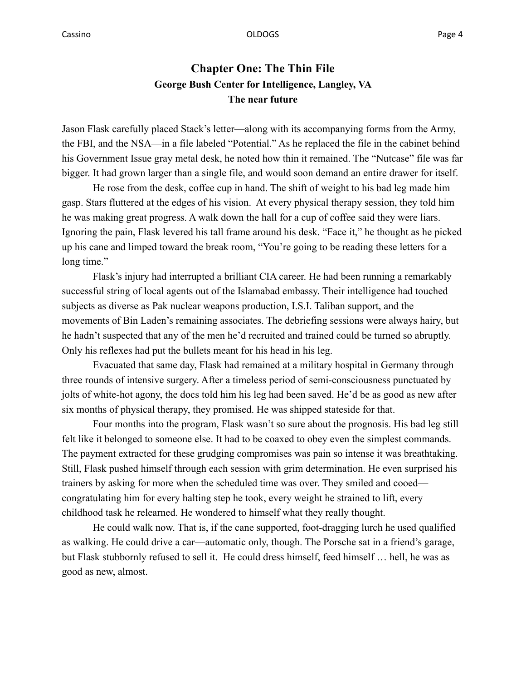# **Chapter One: The Thin File George Bush Center for Intelligence, Langley, VA The near future**

Jason Flask carefully placed Stack's letter—along with its accompanying forms from the Army, the FBI, and the NSA—in a file labeled "Potential." As he replaced the file in the cabinet behind his Government Issue gray metal desk, he noted how thin it remained. The "Nutcase" file was far bigger. It had grown larger than a single file, and would soon demand an entire drawer for itself.

He rose from the desk, coffee cup in hand. The shift of weight to his bad leg made him gasp. Stars fluttered at the edges of his vision. At every physical therapy session, they told him he was making great progress. A walk down the hall for a cup of coffee said they were liars. Ignoring the pain, Flask levered his tall frame around his desk. "Face it," he thought as he picked up his cane and limped toward the break room, "You're going to be reading these letters for a long time."

Flask's injury had interrupted a brilliant CIA career. He had been running a remarkably successful string of local agents out of the Islamabad embassy. Their intelligence had touched subjects as diverse as Pak nuclear weapons production, I.S.I. Taliban support, and the movements of Bin Laden's remaining associates. The debriefing sessions were always hairy, but he hadn't suspected that any of the men he'd recruited and trained could be turned so abruptly. Only his reflexes had put the bullets meant for his head in his leg.

Evacuated that same day, Flask had remained at a military hospital in Germany through three rounds of intensive surgery. After a timeless period of semi-consciousness punctuated by jolts of white-hot agony, the docs told him his leg had been saved. He'd be as good as new after six months of physical therapy, they promised. He was shipped stateside for that.

Four months into the program, Flask wasn't so sure about the prognosis. His bad leg still felt like it belonged to someone else. It had to be coaxed to obey even the simplest commands. The payment extracted for these grudging compromises was pain so intense it was breathtaking. Still, Flask pushed himself through each session with grim determination. He even surprised his trainers by asking for more when the scheduled time was over. They smiled and cooed congratulating him for every halting step he took, every weight he strained to lift, every childhood task he relearned. He wondered to himself what they really thought.

He could walk now. That is, if the cane supported, foot-dragging lurch he used qualified as walking. He could drive a car—automatic only, though. The Porsche sat in a friend's garage, but Flask stubbornly refused to sell it. He could dress himself, feed himself … hell, he was as good as new, almost.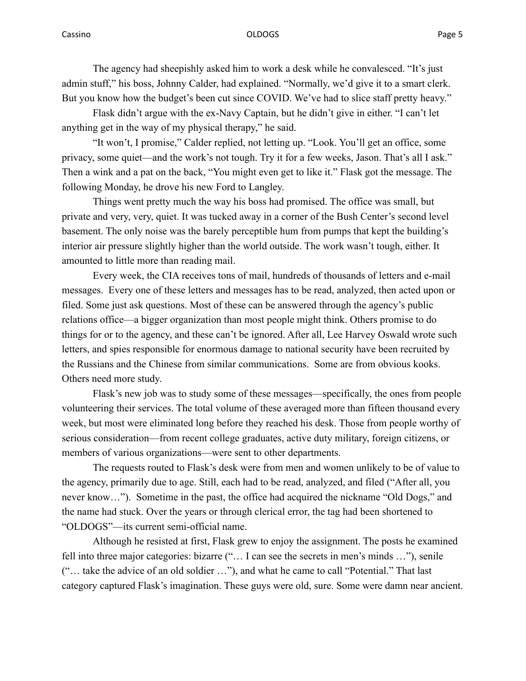#### Cassino OLDOGS Page 5

The agency had sheepishly asked him to work a desk while he convalesced. "It's just admin stuff," his boss, Johnny Calder, had explained. "Normally, we'd give it to a smart clerk. But you know how the budget's been cut since COVID. We've had to slice staff pretty heavy."

Flask didn't argue with the ex-Navy Captain, but he didn't give in either. "I can't let anything get in the way of my physical therapy," he said.

"It won't, I promise," Calder replied, not letting up. "Look. You'll get an office, some privacy, some quiet—and the work's not tough. Try it for a few weeks, Jason. That's all I ask." Then a wink and a pat on the back, "You might even get to like it." Flask got the message. The following Monday, he drove his new Ford to Langley.

Things went pretty much the way his boss had promised. The office was small, but private and very, very, quiet. It was tucked away in a corner of the Bush Center's second level basement. The only noise was the barely perceptible hum from pumps that kept the building's interior air pressure slightly higher than the world outside. The work wasn't tough, either. It amounted to little more than reading mail.

Every week, the CIA receives tons of mail, hundreds of thousands of letters and e-mail messages. Every one of these letters and messages has to be read, analyzed, then acted upon or filed. Some just ask questions. Most of these can be answered through the agency's public relations office—a bigger organization than most people might think. Others promise to do things for or to the agency, and these can't be ignored. After all, Lee Harvey Oswald wrote such letters, and spies responsible for enormous damage to national security have been recruited by the Russians and the Chinese from similar communications. Some are from obvious kooks. Others need more study.

Flask's new job was to study some of these messages—specifically, the ones from people volunteering their services. The total volume of these averaged more than fifteen thousand every week, but most were eliminated long before they reached his desk. Those from people worthy of serious consideration—from recent college graduates, active duty military, foreign citizens, or members of various organizations—were sent to other departments.

The requests routed to Flask's desk were from men and women unlikely to be of value to the agency, primarily due to age. Still, each had to be read, analyzed, and filed ("After all, you never know…"). Sometime in the past, the office had acquired the nickname "Old Dogs," and the name had stuck. Over the years or through clerical error, the tag had been shortened to "OLDOGS"—its current semi-official name.

Although he resisted at first, Flask grew to enjoy the assignment. The posts he examined fell into three major categories: bizarre ("... I can see the secrets in men's minds ..."), senile ("… take the advice of an old soldier …"), and what he came to call "Potential." That last category captured Flask's imagination. These guys were old, sure. Some were damn near ancient.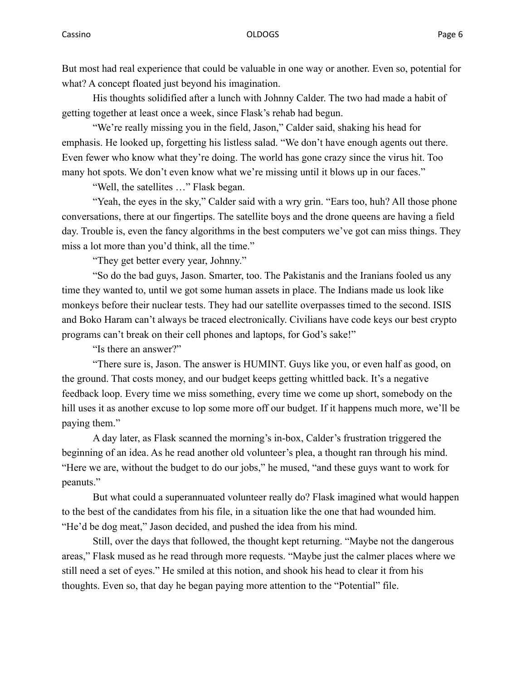#### Cassino OLDOGS Page 6

But most had real experience that could be valuable in one way or another. Even so, potential for what? A concept floated just beyond his imagination.

His thoughts solidified after a lunch with Johnny Calder. The two had made a habit of getting together at least once a week, since Flask's rehab had begun.

"We're really missing you in the field, Jason," Calder said, shaking his head for emphasis. He looked up, forgetting his listless salad. "We don't have enough agents out there. Even fewer who know what they're doing. The world has gone crazy since the virus hit. Too many hot spots. We don't even know what we're missing until it blows up in our faces."

"Well, the satellites …" Flask began.

"Yeah, the eyes in the sky," Calder said with a wry grin. "Ears too, huh? All those phone conversations, there at our fingertips. The satellite boys and the drone queens are having a field day. Trouble is, even the fancy algorithms in the best computers we've got can miss things. They miss a lot more than you'd think, all the time."

"They get better every year, Johnny."

"So do the bad guys, Jason. Smarter, too. The Pakistanis and the Iranians fooled us any time they wanted to, until we got some human assets in place. The Indians made us look like monkeys before their nuclear tests. They had our satellite overpasses timed to the second. ISIS and Boko Haram can't always be traced electronically. Civilians have code keys our best crypto programs can't break on their cell phones and laptops, for God's sake!"

"Is there an answer?"

"There sure is, Jason. The answer is HUMINT. Guys like you, or even half as good, on the ground. That costs money, and our budget keeps getting whittled back. It's a negative feedback loop. Every time we miss something, every time we come up short, somebody on the hill uses it as another excuse to lop some more off our budget. If it happens much more, we'll be paying them."

A day later, as Flask scanned the morning's in-box, Calder's frustration triggered the beginning of an idea. As he read another old volunteer's plea, a thought ran through his mind. "Here we are, without the budget to do our jobs," he mused, "and these guys want to work for peanuts."

But what could a superannuated volunteer really do? Flask imagined what would happen to the best of the candidates from his file, in a situation like the one that had wounded him. "He'd be dog meat," Jason decided, and pushed the idea from his mind.

Still, over the days that followed, the thought kept returning. "Maybe not the dangerous areas," Flask mused as he read through more requests. "Maybe just the calmer places where we still need a set of eyes." He smiled at this notion, and shook his head to clear it from his thoughts. Even so, that day he began paying more attention to the "Potential" file.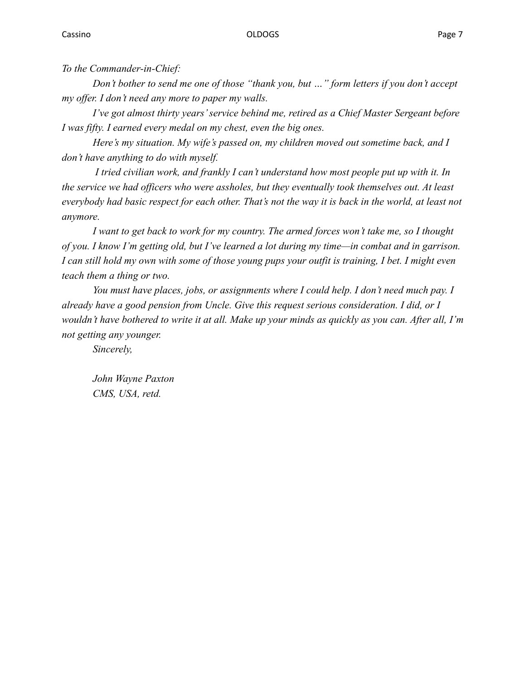*To the Commander-in-Chief:* 

 *Don't bother to send me one of those "thank you, but …" form letters if you don't accept my offer. I don't need any more to paper my walls.* 

 *I've got almost thirty years' service behind me, retired as a Chief Master Sergeant before I was fifty. I earned every medal on my chest, even the big ones.* 

 *Here's my situation. My wife's passed on, my children moved out sometime back, and I don't have anything to do with myself.* 

 *I tried civilian work, and frankly I can't understand how most people put up with it. In the service we had officers who were assholes, but they eventually took themselves out. At least everybody had basic respect for each other. That's not the way it is back in the world, at least not anymore.* 

*I want to get back to work for my country. The armed forces won't take me, so I thought of you. I know I'm getting old, but I've learned a lot during my time—in combat and in garrison. I can still hold my own with some of those young pups your outfit is training, I bet. I might even teach them a thing or two.* 

*You must have places, jobs, or assignments where I could help. I don't need much pay. I already have a good pension from Uncle. Give this request serious consideration. I did, or I wouldn't have bothered to write it at all. Make up your minds as quickly as you can. After all, I'm not getting any younger.* 

*Sincerely,* 

*John Wayne Paxton CMS, USA, retd.*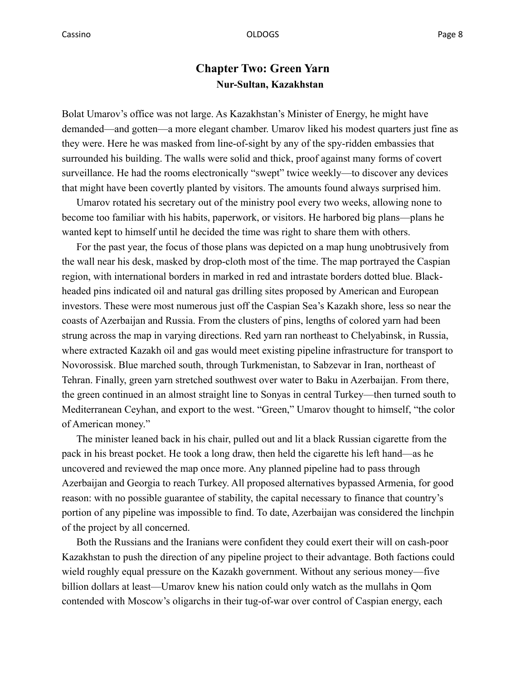## **Chapter Two: Green Yarn Nur-Sultan, Kazakhstan**

Bolat Umarov's office was not large. As Kazakhstan's Minister of Energy, he might have demanded—and gotten—a more elegant chamber. Umarov liked his modest quarters just fine as they were. Here he was masked from line-of-sight by any of the spy-ridden embassies that surrounded his building. The walls were solid and thick, proof against many forms of covert surveillance. He had the rooms electronically "swept" twice weekly—to discover any devices that might have been covertly planted by visitors. The amounts found always surprised him.

Umarov rotated his secretary out of the ministry pool every two weeks, allowing none to become too familiar with his habits, paperwork, or visitors. He harbored big plans—plans he wanted kept to himself until he decided the time was right to share them with others.

For the past year, the focus of those plans was depicted on a map hung unobtrusively from the wall near his desk, masked by drop-cloth most of the time. The map portrayed the Caspian region, with international borders in marked in red and intrastate borders dotted blue. Blackheaded pins indicated oil and natural gas drilling sites proposed by American and European investors. These were most numerous just off the Caspian Sea's Kazakh shore, less so near the coasts of Azerbaijan and Russia. From the clusters of pins, lengths of colored yarn had been strung across the map in varying directions. Red yarn ran northeast to Chelyabinsk, in Russia, where extracted Kazakh oil and gas would meet existing pipeline infrastructure for transport to Novorossisk. Blue marched south, through Turkmenistan, to Sabzevar in Iran, northeast of Tehran. Finally, green yarn stretched southwest over water to Baku in Azerbaijan. From there, the green continued in an almost straight line to Sonyas in central Turkey—then turned south to Mediterranean Ceyhan, and export to the west. "Green," Umarov thought to himself, "the color of American money."

The minister leaned back in his chair, pulled out and lit a black Russian cigarette from the pack in his breast pocket. He took a long draw, then held the cigarette his left hand—as he uncovered and reviewed the map once more. Any planned pipeline had to pass through Azerbaijan and Georgia to reach Turkey. All proposed alternatives bypassed Armenia, for good reason: with no possible guarantee of stability, the capital necessary to finance that country's portion of any pipeline was impossible to find. To date, Azerbaijan was considered the linchpin of the project by all concerned.

Both the Russians and the Iranians were confident they could exert their will on cash-poor Kazakhstan to push the direction of any pipeline project to their advantage. Both factions could wield roughly equal pressure on the Kazakh government. Without any serious money—five billion dollars at least—Umarov knew his nation could only watch as the mullahs in Qom contended with Moscow's oligarchs in their tug-of-war over control of Caspian energy, each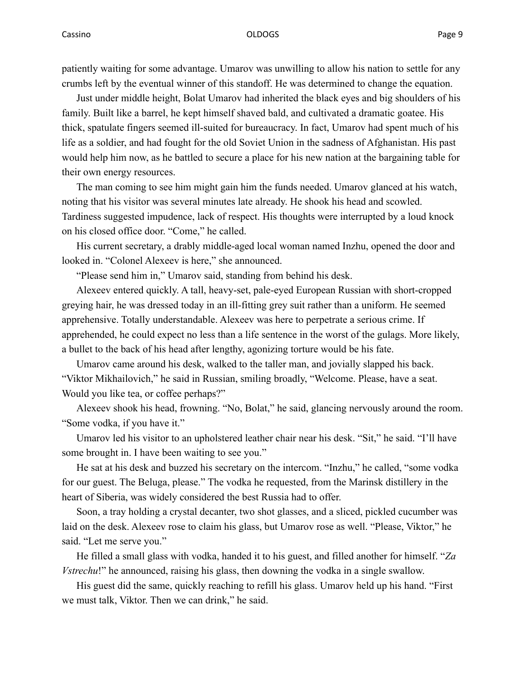#### Cassino OLDOGS Page 9

patiently waiting for some advantage. Umarov was unwilling to allow his nation to settle for any crumbs left by the eventual winner of this standoff. He was determined to change the equation.

Just under middle height, Bolat Umarov had inherited the black eyes and big shoulders of his family. Built like a barrel, he kept himself shaved bald, and cultivated a dramatic goatee. His thick, spatulate fingers seemed ill-suited for bureaucracy. In fact, Umarov had spent much of his life as a soldier, and had fought for the old Soviet Union in the sadness of Afghanistan. His past would help him now, as he battled to secure a place for his new nation at the bargaining table for their own energy resources.

The man coming to see him might gain him the funds needed. Umarov glanced at his watch, noting that his visitor was several minutes late already. He shook his head and scowled. Tardiness suggested impudence, lack of respect. His thoughts were interrupted by a loud knock on his closed office door. "Come," he called.

His current secretary, a drably middle-aged local woman named Inzhu, opened the door and looked in. "Colonel Alexeev is here," she announced.

"Please send him in," Umarov said, standing from behind his desk.

Alexeev entered quickly. A tall, heavy-set, pale-eyed European Russian with short-cropped greying hair, he was dressed today in an ill-fitting grey suit rather than a uniform. He seemed apprehensive. Totally understandable. Alexeev was here to perpetrate a serious crime. If apprehended, he could expect no less than a life sentence in the worst of the gulags. More likely, a bullet to the back of his head after lengthy, agonizing torture would be his fate.

Umarov came around his desk, walked to the taller man, and jovially slapped his back. "Viktor Mikhailovich," he said in Russian, smiling broadly, "Welcome. Please, have a seat. Would you like tea, or coffee perhaps?"

Alexeev shook his head, frowning. "No, Bolat," he said, glancing nervously around the room. "Some vodka, if you have it."

Umarov led his visitor to an upholstered leather chair near his desk. "Sit," he said. "I'll have some brought in. I have been waiting to see you."

He sat at his desk and buzzed his secretary on the intercom. "Inzhu," he called, "some vodka for our guest. The Beluga, please." The vodka he requested, from the Marinsk distillery in the heart of Siberia, was widely considered the best Russia had to offer.

Soon, a tray holding a crystal decanter, two shot glasses, and a sliced, pickled cucumber was laid on the desk. Alexeev rose to claim his glass, but Umarov rose as well. "Please, Viktor," he said. "Let me serve you."

He filled a small glass with vodka, handed it to his guest, and filled another for himself. "*Za Vstrechu*!" he announced, raising his glass, then downing the vodka in a single swallow.

His guest did the same, quickly reaching to refill his glass. Umarov held up his hand. "First we must talk, Viktor. Then we can drink," he said.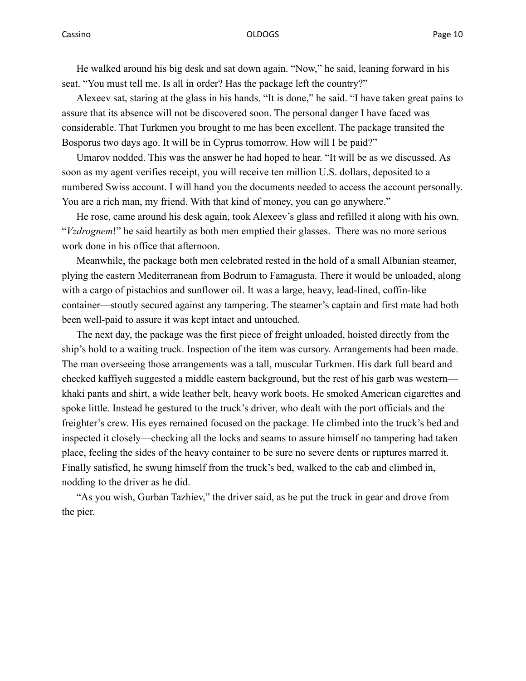#### Cassino **Cassino Cassino Page 10**

He walked around his big desk and sat down again. "Now," he said, leaning forward in his seat. "You must tell me. Is all in order? Has the package left the country?"

Alexeev sat, staring at the glass in his hands. "It is done," he said. "I have taken great pains to assure that its absence will not be discovered soon. The personal danger I have faced was considerable. That Turkmen you brought to me has been excellent. The package transited the Bosporus two days ago. It will be in Cyprus tomorrow. How will I be paid?"

Umarov nodded. This was the answer he had hoped to hear. "It will be as we discussed. As soon as my agent verifies receipt, you will receive ten million U.S. dollars, deposited to a numbered Swiss account. I will hand you the documents needed to access the account personally. You are a rich man, my friend. With that kind of money, you can go anywhere."

He rose, came around his desk again, took Alexeev's glass and refilled it along with his own. "*Vzdrognem*!" he said heartily as both men emptied their glasses. There was no more serious work done in his office that afternoon.

Meanwhile, the package both men celebrated rested in the hold of a small Albanian steamer, plying the eastern Mediterranean from Bodrum to Famagusta. There it would be unloaded, along with a cargo of pistachios and sunflower oil. It was a large, heavy, lead-lined, coffin-like container—stoutly secured against any tampering. The steamer's captain and first mate had both been well-paid to assure it was kept intact and untouched.

The next day, the package was the first piece of freight unloaded, hoisted directly from the ship's hold to a waiting truck. Inspection of the item was cursory. Arrangements had been made. The man overseeing those arrangements was a tall, muscular Turkmen. His dark full beard and checked kaffiyeh suggested a middle eastern background, but the rest of his garb was western khaki pants and shirt, a wide leather belt, heavy work boots. He smoked American cigarettes and spoke little. Instead he gestured to the truck's driver, who dealt with the port officials and the freighter's crew. His eyes remained focused on the package. He climbed into the truck's bed and inspected it closely—checking all the locks and seams to assure himself no tampering had taken place, feeling the sides of the heavy container to be sure no severe dents or ruptures marred it. Finally satisfied, he swung himself from the truck's bed, walked to the cab and climbed in, nodding to the driver as he did.

"As you wish, Gurban Tazhiev," the driver said, as he put the truck in gear and drove from the pier.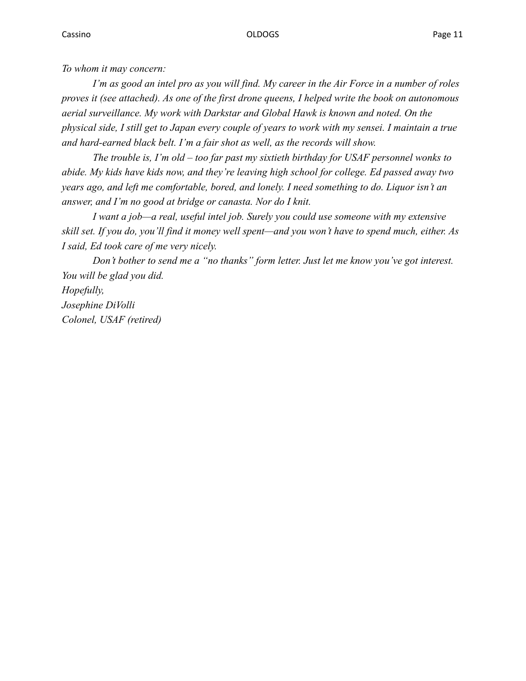*To whom it may concern:* 

 *I'm as good an intel pro as you will find. My career in the Air Force in a number of roles proves it (see attached). As one of the first drone queens, I helped write the book on autonomous aerial surveillance. My work with Darkstar and Global Hawk is known and noted. On the physical side, I still get to Japan every couple of years to work with my sensei. I maintain a true and hard-earned black belt. I'm a fair shot as well, as the records will show.* 

 *The trouble is, I'm old – too far past my sixtieth birthday for USAF personnel wonks to abide. My kids have kids now, and they're leaving high school for college. Ed passed away two years ago, and left me comfortable, bored, and lonely. I need something to do. Liquor isn't an answer, and I'm no good at bridge or canasta. Nor do I knit.* 

 *I want a job—a real, useful intel job. Surely you could use someone with my extensive skill set. If you do, you'll find it money well spent—and you won't have to spend much, either. As I said, Ed took care of me very nicely.* 

 *Don't bother to send me a "no thanks" form letter. Just let me know you've got interest. You will be glad you did.* 

*Hopefully, Josephine DiVolli Colonel, USAF (retired)*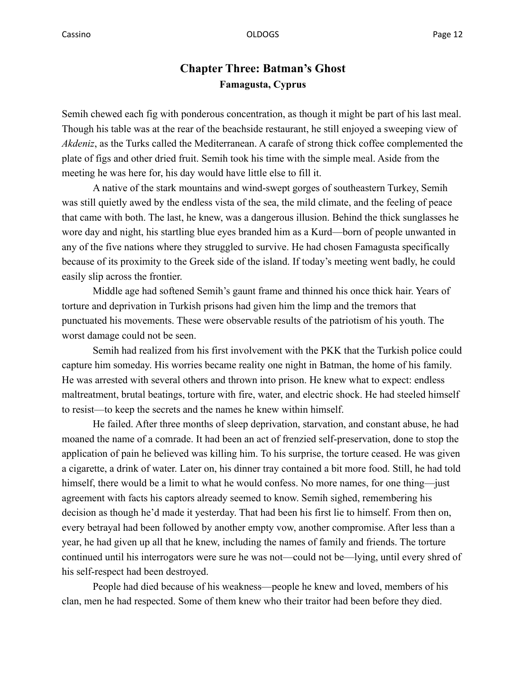## **Chapter Three: Batman's Ghost Famagusta, Cyprus**

Semih chewed each fig with ponderous concentration, as though it might be part of his last meal. Though his table was at the rear of the beachside restaurant, he still enjoyed a sweeping view of *Akdeniz*, as the Turks called the Mediterranean. A carafe of strong thick coffee complemented the plate of figs and other dried fruit. Semih took his time with the simple meal. Aside from the meeting he was here for, his day would have little else to fill it.

 A native of the stark mountains and wind-swept gorges of southeastern Turkey, Semih was still quietly awed by the endless vista of the sea, the mild climate, and the feeling of peace that came with both. The last, he knew, was a dangerous illusion. Behind the thick sunglasses he wore day and night, his startling blue eyes branded him as a Kurd—born of people unwanted in any of the five nations where they struggled to survive. He had chosen Famagusta specifically because of its proximity to the Greek side of the island. If today's meeting went badly, he could easily slip across the frontier.

 Middle age had softened Semih's gaunt frame and thinned his once thick hair. Years of torture and deprivation in Turkish prisons had given him the limp and the tremors that punctuated his movements. These were observable results of the patriotism of his youth. The worst damage could not be seen.

 Semih had realized from his first involvement with the PKK that the Turkish police could capture him someday. His worries became reality one night in Batman, the home of his family. He was arrested with several others and thrown into prison. He knew what to expect: endless maltreatment, brutal beatings, torture with fire, water, and electric shock. He had steeled himself to resist—to keep the secrets and the names he knew within himself.

He failed. After three months of sleep deprivation, starvation, and constant abuse, he had moaned the name of a comrade. It had been an act of frenzied self-preservation, done to stop the application of pain he believed was killing him. To his surprise, the torture ceased. He was given a cigarette, a drink of water. Later on, his dinner tray contained a bit more food. Still, he had told himself, there would be a limit to what he would confess. No more names, for one thing—just agreement with facts his captors already seemed to know. Semih sighed, remembering his decision as though he'd made it yesterday. That had been his first lie to himself. From then on, every betrayal had been followed by another empty vow, another compromise. After less than a year, he had given up all that he knew, including the names of family and friends. The torture continued until his interrogators were sure he was not—could not be—lying, until every shred of his self-respect had been destroyed.

 People had died because of his weakness—people he knew and loved, members of his clan, men he had respected. Some of them knew who their traitor had been before they died.